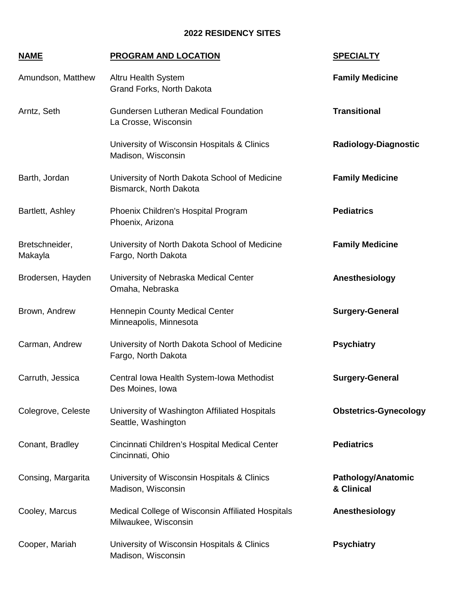## **2022 RESIDENCY SITES**

## **NAME PROGRAM AND LOCATION SPECIALTY**

| Amundson, Matthew         | Altru Health System<br>Grand Forks, North Dakota                          | <b>Family Medicine</b>           |
|---------------------------|---------------------------------------------------------------------------|----------------------------------|
| Arntz, Seth               | Gundersen Lutheran Medical Foundation<br>La Crosse, Wisconsin             | <b>Transitional</b>              |
|                           | University of Wisconsin Hospitals & Clinics<br>Madison, Wisconsin         | <b>Radiology-Diagnostic</b>      |
| Barth, Jordan             | University of North Dakota School of Medicine<br>Bismarck, North Dakota   | <b>Family Medicine</b>           |
| Bartlett, Ashley          | Phoenix Children's Hospital Program<br>Phoenix, Arizona                   | <b>Pediatrics</b>                |
| Bretschneider,<br>Makayla | University of North Dakota School of Medicine<br>Fargo, North Dakota      | <b>Family Medicine</b>           |
| Brodersen, Hayden         | University of Nebraska Medical Center<br>Omaha, Nebraska                  | Anesthesiology                   |
| Brown, Andrew             | <b>Hennepin County Medical Center</b><br>Minneapolis, Minnesota           | <b>Surgery-General</b>           |
| Carman, Andrew            | University of North Dakota School of Medicine<br>Fargo, North Dakota      | <b>Psychiatry</b>                |
| Carruth, Jessica          | Central Iowa Health System-Iowa Methodist<br>Des Moines, Iowa             | <b>Surgery-General</b>           |
| Colegrove, Celeste        | University of Washington Affiliated Hospitals<br>Seattle, Washington      | <b>Obstetrics-Gynecology</b>     |
| Conant, Bradley           | Cincinnati Children's Hospital Medical Center<br>Cincinnati, Ohio         | <b>Pediatrics</b>                |
| Consing, Margarita        | University of Wisconsin Hospitals & Clinics<br>Madison, Wisconsin         | Pathology/Anatomic<br>& Clinical |
| Cooley, Marcus            | Medical College of Wisconsin Affiliated Hospitals<br>Milwaukee, Wisconsin | Anesthesiology                   |
| Cooper, Mariah            | University of Wisconsin Hospitals & Clinics<br>Madison, Wisconsin         | <b>Psychiatry</b>                |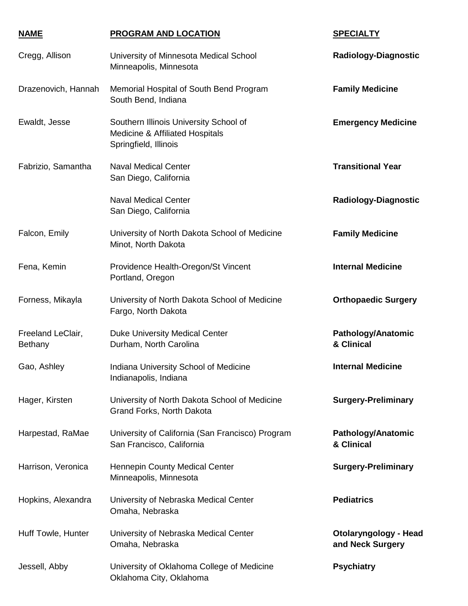| <b>NAME</b>                         | <b>PROGRAM AND LOCATION</b>                                                                        | <b>SPECIALTY</b>                                 |
|-------------------------------------|----------------------------------------------------------------------------------------------------|--------------------------------------------------|
| Cregg, Allison                      | University of Minnesota Medical School<br>Minneapolis, Minnesota                                   | <b>Radiology-Diagnostic</b>                      |
| Drazenovich, Hannah                 | Memorial Hospital of South Bend Program<br>South Bend, Indiana                                     | <b>Family Medicine</b>                           |
| Ewaldt, Jesse                       | Southern Illinois University School of<br>Medicine & Affiliated Hospitals<br>Springfield, Illinois | <b>Emergency Medicine</b>                        |
| Fabrizio, Samantha                  | <b>Naval Medical Center</b><br>San Diego, California                                               | <b>Transitional Year</b>                         |
|                                     | <b>Naval Medical Center</b><br>San Diego, California                                               | <b>Radiology-Diagnostic</b>                      |
| Falcon, Emily                       | University of North Dakota School of Medicine<br>Minot, North Dakota                               | <b>Family Medicine</b>                           |
| Fena, Kemin                         | Providence Health-Oregon/St Vincent<br>Portland, Oregon                                            | <b>Internal Medicine</b>                         |
| Forness, Mikayla                    | University of North Dakota School of Medicine<br>Fargo, North Dakota                               | <b>Orthopaedic Surgery</b>                       |
| Freeland LeClair,<br><b>Bethany</b> | <b>Duke University Medical Center</b><br>Durham, North Carolina                                    | <b>Pathology/Anatomic</b><br>& Clinical          |
| Gao, Ashley                         | Indiana University School of Medicine<br>Indianapolis, Indiana                                     | <b>Internal Medicine</b>                         |
| Hager, Kirsten                      | University of North Dakota School of Medicine<br>Grand Forks, North Dakota                         | <b>Surgery-Preliminary</b>                       |
| Harpestad, RaMae                    | University of California (San Francisco) Program<br>San Francisco, California                      | Pathology/Anatomic<br>& Clinical                 |
| Harrison, Veronica                  | Hennepin County Medical Center<br>Minneapolis, Minnesota                                           | <b>Surgery-Preliminary</b>                       |
| Hopkins, Alexandra                  | University of Nebraska Medical Center<br>Omaha, Nebraska                                           | <b>Pediatrics</b>                                |
| Huff Towle, Hunter                  | University of Nebraska Medical Center<br>Omaha, Nebraska                                           | <b>Otolaryngology - Head</b><br>and Neck Surgery |
| Jessell, Abby                       | University of Oklahoma College of Medicine<br>Oklahoma City, Oklahoma                              | <b>Psychiatry</b>                                |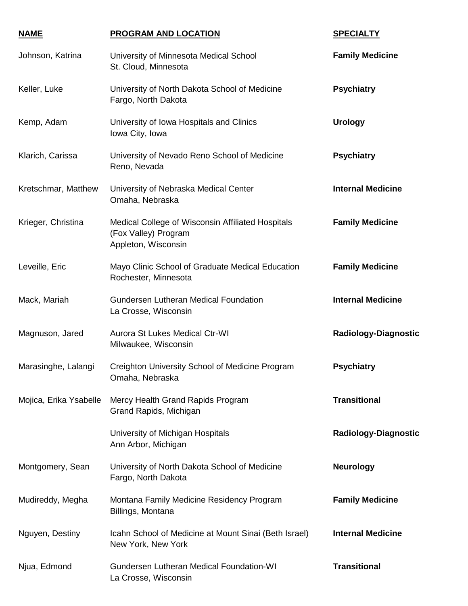| <b>NAME</b>            | PROGRAM AND LOCATION                                                                             | <b>SPECIALTY</b>            |
|------------------------|--------------------------------------------------------------------------------------------------|-----------------------------|
| Johnson, Katrina       | University of Minnesota Medical School<br>St. Cloud, Minnesota                                   | <b>Family Medicine</b>      |
| Keller, Luke           | University of North Dakota School of Medicine<br>Fargo, North Dakota                             | <b>Psychiatry</b>           |
| Kemp, Adam             | University of Iowa Hospitals and Clinics<br>Iowa City, Iowa                                      | <b>Urology</b>              |
| Klarich, Carissa       | University of Nevado Reno School of Medicine<br>Reno, Nevada                                     | <b>Psychiatry</b>           |
| Kretschmar, Matthew    | University of Nebraska Medical Center<br>Omaha, Nebraska                                         | <b>Internal Medicine</b>    |
| Krieger, Christina     | Medical College of Wisconsin Affiliated Hospitals<br>(Fox Valley) Program<br>Appleton, Wisconsin | <b>Family Medicine</b>      |
| Leveille, Eric         | Mayo Clinic School of Graduate Medical Education<br>Rochester, Minnesota                         | <b>Family Medicine</b>      |
| Mack, Mariah           | Gundersen Lutheran Medical Foundation<br>La Crosse, Wisconsin                                    | <b>Internal Medicine</b>    |
| Magnuson, Jared        | <b>Aurora St Lukes Medical Ctr-WI</b><br>Milwaukee, Wisconsin                                    | <b>Radiology-Diagnostic</b> |
| Marasinghe, Lalangi    | Creighton University School of Medicine Program<br>Omaha, Nebraska                               | <b>Psychiatry</b>           |
| Mojica, Erika Ysabelle | Mercy Health Grand Rapids Program<br>Grand Rapids, Michigan                                      | <b>Transitional</b>         |
|                        | University of Michigan Hospitals<br>Ann Arbor, Michigan                                          | <b>Radiology-Diagnostic</b> |
| Montgomery, Sean       | University of North Dakota School of Medicine<br>Fargo, North Dakota                             | <b>Neurology</b>            |
| Mudireddy, Megha       | Montana Family Medicine Residency Program<br>Billings, Montana                                   | <b>Family Medicine</b>      |
| Nguyen, Destiny        | Icahn School of Medicine at Mount Sinai (Beth Israel)<br>New York, New York                      | <b>Internal Medicine</b>    |
| Njua, Edmond           | Gundersen Lutheran Medical Foundation-WI<br>La Crosse, Wisconsin                                 | <b>Transitional</b>         |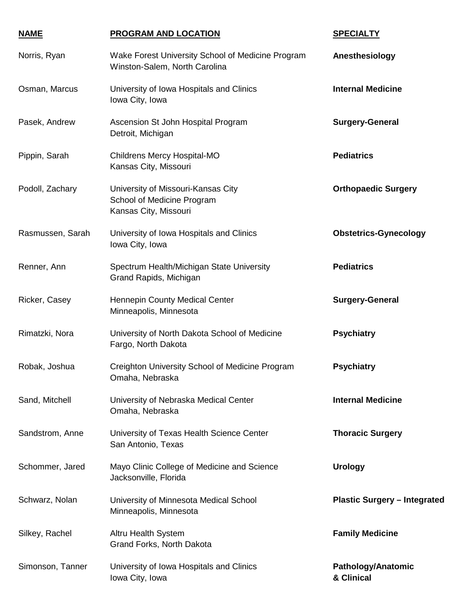| <b>NAME</b>      | <b>PROGRAM AND LOCATION</b>                                                               | <b>SPECIALTY</b>                        |
|------------------|-------------------------------------------------------------------------------------------|-----------------------------------------|
| Norris, Ryan     | Wake Forest University School of Medicine Program<br>Winston-Salem, North Carolina        | Anesthesiology                          |
| Osman, Marcus    | University of Iowa Hospitals and Clinics<br>Iowa City, Iowa                               | <b>Internal Medicine</b>                |
| Pasek, Andrew    | Ascension St John Hospital Program<br>Detroit, Michigan                                   | <b>Surgery-General</b>                  |
| Pippin, Sarah    | Childrens Mercy Hospital-MO<br>Kansas City, Missouri                                      | <b>Pediatrics</b>                       |
| Podoll, Zachary  | University of Missouri-Kansas City<br>School of Medicine Program<br>Kansas City, Missouri | <b>Orthopaedic Surgery</b>              |
| Rasmussen, Sarah | University of Iowa Hospitals and Clinics<br>Iowa City, Iowa                               | <b>Obstetrics-Gynecology</b>            |
| Renner, Ann      | Spectrum Health/Michigan State University<br>Grand Rapids, Michigan                       | <b>Pediatrics</b>                       |
| Ricker, Casey    | Hennepin County Medical Center<br>Minneapolis, Minnesota                                  | <b>Surgery-General</b>                  |
| Rimatzki, Nora   | University of North Dakota School of Medicine<br>Fargo, North Dakota                      | <b>Psychiatry</b>                       |
| Robak, Joshua    | Creighton University School of Medicine Program<br>Omaha, Nebraska                        | <b>Psychiatry</b>                       |
| Sand, Mitchell   | University of Nebraska Medical Center<br>Omaha, Nebraska                                  | <b>Internal Medicine</b>                |
| Sandstrom, Anne  | University of Texas Health Science Center<br>San Antonio, Texas                           | <b>Thoracic Surgery</b>                 |
| Schommer, Jared  | Mayo Clinic College of Medicine and Science<br>Jacksonville, Florida                      | <b>Urology</b>                          |
| Schwarz, Nolan   | University of Minnesota Medical School<br>Minneapolis, Minnesota                          | <b>Plastic Surgery - Integrated</b>     |
| Silkey, Rachel   | Altru Health System<br>Grand Forks, North Dakota                                          | <b>Family Medicine</b>                  |
| Simonson, Tanner | University of Iowa Hospitals and Clinics<br>Iowa City, Iowa                               | <b>Pathology/Anatomic</b><br>& Clinical |